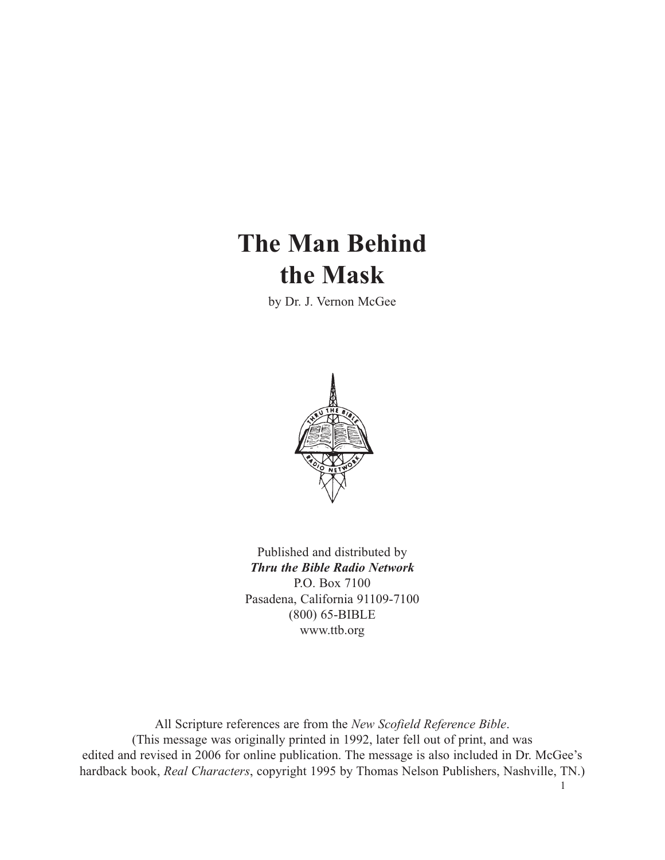# **The Man Behind the Mask**

by Dr. J. Vernon McGee



Published and distributed by *Thru the Bible Radio Network* P.O. Box 7100 Pasadena, California 91109-7100 (800) 65-BIBLE www.ttb.org

All Scripture references are from the *New Scofield Reference Bible*. (This message was originally printed in 1992, later fell out of print, and was edited and revised in 2006 for online publication. The message is also included in Dr. McGee's hardback book, *Real Characters*, copyright 1995 by Thomas Nelson Publishers, Nashville, TN.)

1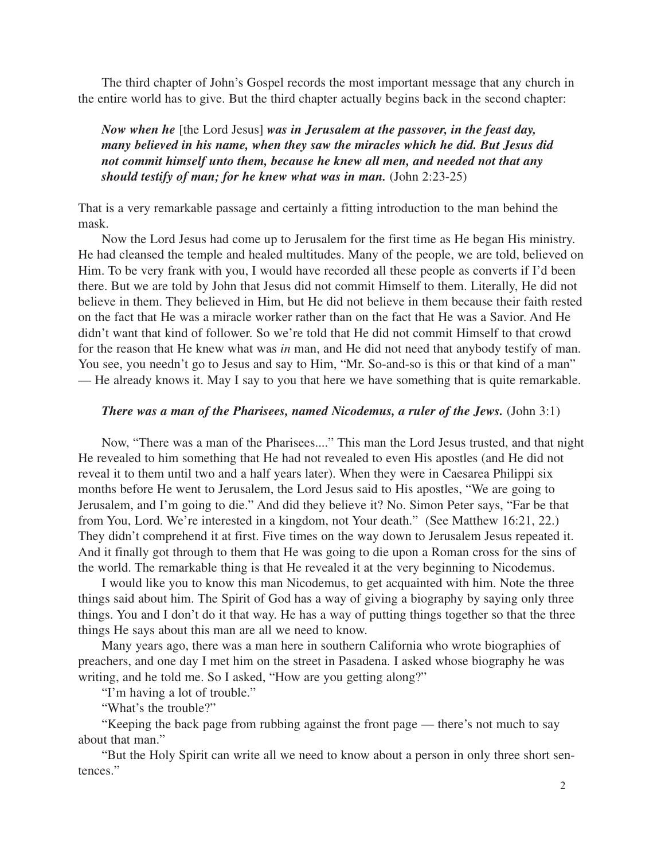The third chapter of John's Gospel records the most important message that any church in the entire world has to give. But the third chapter actually begins back in the second chapter:

*Now when he* [the Lord Jesus] *was in Jerusalem at the passover, in the feast day, many believed in his name, when they saw the miracles which he did. But Jesus did not commit himself unto them, because he knew all men, and needed not that any should testify of man; for he knew what was in man.* (John 2:23-25)

That is a very remarkable passage and certainly a fitting introduction to the man behind the mask.

Now the Lord Jesus had come up to Jerusalem for the first time as He began His ministry. He had cleansed the temple and healed multitudes. Many of the people, we are told, believed on Him. To be very frank with you, I would have recorded all these people as converts if I'd been there. But we are told by John that Jesus did not commit Himself to them. Literally, He did not believe in them. They believed in Him, but He did not believe in them because their faith rested on the fact that He was a miracle worker rather than on the fact that He was a Savior. And He didn't want that kind of follower. So we're told that He did not commit Himself to that crowd for the reason that He knew what was *in* man, and He did not need that anybody testify of man. You see, you needn't go to Jesus and say to Him, "Mr. So-and-so is this or that kind of a man" — He already knows it. May I say to you that here we have something that is quite remarkable.

#### *There was a man of the Pharisees, named Nicodemus, a ruler of the Jews.* (John 3:1)

Now, "There was a man of the Pharisees...." This man the Lord Jesus trusted, and that night He revealed to him something that He had not revealed to even His apostles (and He did not reveal it to them until two and a half years later). When they were in Caesarea Philippi six months before He went to Jerusalem, the Lord Jesus said to His apostles, "We are going to Jerusalem, and I'm going to die." And did they believe it? No. Simon Peter says, "Far be that from You, Lord. We're interested in a kingdom, not Your death." (See Matthew 16:21, 22.) They didn't comprehend it at first. Five times on the way down to Jerusalem Jesus repeated it. And it finally got through to them that He was going to die upon a Roman cross for the sins of the world. The remarkable thing is that He revealed it at the very beginning to Nicodemus.

I would like you to know this man Nicodemus, to get acquainted with him. Note the three things said about him. The Spirit of God has a way of giving a biography by saying only three things. You and I don't do it that way. He has a way of putting things together so that the three things He says about this man are all we need to know.

Many years ago, there was a man here in southern California who wrote biographies of preachers, and one day I met him on the street in Pasadena. I asked whose biography he was writing, and he told me. So I asked, "How are you getting along?"

"I'm having a lot of trouble."

"What's the trouble?"

"Keeping the back page from rubbing against the front page — there's not much to say about that man."

"But the Holy Spirit can write all we need to know about a person in only three short sentences."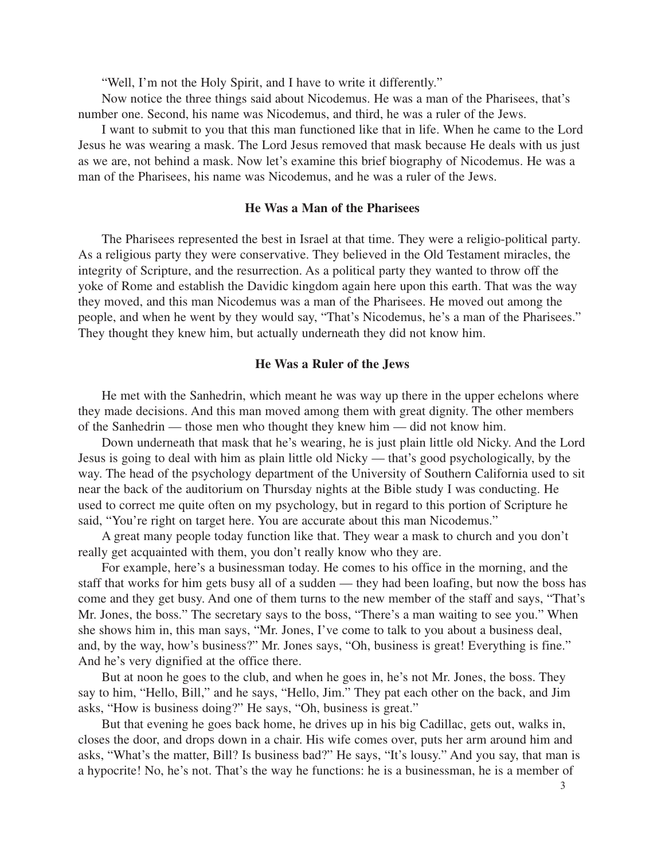"Well, I'm not the Holy Spirit, and I have to write it differently."

Now notice the three things said about Nicodemus. He was a man of the Pharisees, that's number one. Second, his name was Nicodemus, and third, he was a ruler of the Jews.

I want to submit to you that this man functioned like that in life. When he came to the Lord Jesus he was wearing a mask. The Lord Jesus removed that mask because He deals with us just as we are, not behind a mask. Now let's examine this brief biography of Nicodemus. He was a man of the Pharisees, his name was Nicodemus, and he was a ruler of the Jews.

#### **He Was a Man of the Pharisees**

The Pharisees represented the best in Israel at that time. They were a religio-political party. As a religious party they were conservative. They believed in the Old Testament miracles, the integrity of Scripture, and the resurrection. As a political party they wanted to throw off the yoke of Rome and establish the Davidic kingdom again here upon this earth. That was the way they moved, and this man Nicodemus was a man of the Pharisees. He moved out among the people, and when he went by they would say, "That's Nicodemus, he's a man of the Pharisees." They thought they knew him, but actually underneath they did not know him.

#### **He Was a Ruler of the Jews**

He met with the Sanhedrin, which meant he was way up there in the upper echelons where they made decisions. And this man moved among them with great dignity. The other members of the Sanhedrin — those men who thought they knew him — did not know him.

Down underneath that mask that he's wearing, he is just plain little old Nicky. And the Lord Jesus is going to deal with him as plain little old Nicky — that's good psychologically, by the way. The head of the psychology department of the University of Southern California used to sit near the back of the auditorium on Thursday nights at the Bible study I was conducting. He used to correct me quite often on my psychology, but in regard to this portion of Scripture he said, "You're right on target here. You are accurate about this man Nicodemus."

A great many people today function like that. They wear a mask to church and you don't really get acquainted with them, you don't really know who they are.

For example, here's a businessman today. He comes to his office in the morning, and the staff that works for him gets busy all of a sudden — they had been loafing, but now the boss has come and they get busy. And one of them turns to the new member of the staff and says, "That's Mr. Jones, the boss." The secretary says to the boss, "There's a man waiting to see you." When she shows him in, this man says, "Mr. Jones, I've come to talk to you about a business deal, and, by the way, how's business?" Mr. Jones says, "Oh, business is great! Everything is fine." And he's very dignified at the office there.

But at noon he goes to the club, and when he goes in, he's not Mr. Jones, the boss. They say to him, "Hello, Bill," and he says, "Hello, Jim." They pat each other on the back, and Jim asks, "How is business doing?" He says, "Oh, business is great."

But that evening he goes back home, he drives up in his big Cadillac, gets out, walks in, closes the door, and drops down in a chair. His wife comes over, puts her arm around him and asks, "What's the matter, Bill? Is business bad?" He says, "It's lousy." And you say, that man is a hypocrite! No, he's not. That's the way he functions: he is a businessman, he is a member of

3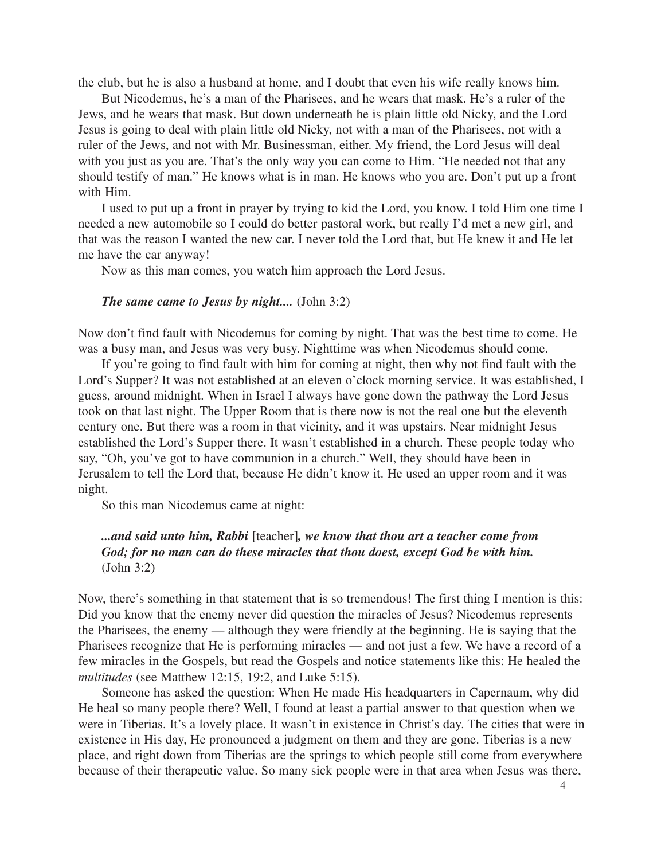the club, but he is also a husband at home, and I doubt that even his wife really knows him.

But Nicodemus, he's a man of the Pharisees, and he wears that mask. He's a ruler of the Jews, and he wears that mask. But down underneath he is plain little old Nicky, and the Lord Jesus is going to deal with plain little old Nicky, not with a man of the Pharisees, not with a ruler of the Jews, and not with Mr. Businessman, either. My friend, the Lord Jesus will deal with you just as you are. That's the only way you can come to Him. "He needed not that any should testify of man." He knows what is in man. He knows who you are. Don't put up a front with Him.

I used to put up a front in prayer by trying to kid the Lord, you know. I told Him one time I needed a new automobile so I could do better pastoral work, but really I'd met a new girl, and that was the reason I wanted the new car. I never told the Lord that, but He knew it and He let me have the car anyway!

Now as this man comes, you watch him approach the Lord Jesus.

#### *The same came to Jesus by night....* (John 3:2)

Now don't find fault with Nicodemus for coming by night. That was the best time to come. He was a busy man, and Jesus was very busy. Nighttime was when Nicodemus should come.

If you're going to find fault with him for coming at night, then why not find fault with the Lord's Supper? It was not established at an eleven o'clock morning service. It was established, I guess, around midnight. When in Israel I always have gone down the pathway the Lord Jesus took on that last night. The Upper Room that is there now is not the real one but the eleventh century one. But there was a room in that vicinity, and it was upstairs. Near midnight Jesus established the Lord's Supper there. It wasn't established in a church. These people today who say, "Oh, you've got to have communion in a church." Well, they should have been in Jerusalem to tell the Lord that, because He didn't know it. He used an upper room and it was night.

So this man Nicodemus came at night:

## *...and said unto him, Rabbi* [teacher]*, we know that thou art a teacher come from God; for no man can do these miracles that thou doest, except God be with him.* (John 3:2)

Now, there's something in that statement that is so tremendous! The first thing I mention is this: Did you know that the enemy never did question the miracles of Jesus? Nicodemus represents the Pharisees, the enemy — although they were friendly at the beginning. He is saying that the Pharisees recognize that He is performing miracles — and not just a few. We have a record of a few miracles in the Gospels, but read the Gospels and notice statements like this: He healed the *multitudes* (see Matthew 12:15, 19:2, and Luke 5:15).

Someone has asked the question: When He made His headquarters in Capernaum, why did He heal so many people there? Well, I found at least a partial answer to that question when we were in Tiberias. It's a lovely place. It wasn't in existence in Christ's day. The cities that were in existence in His day, He pronounced a judgment on them and they are gone. Tiberias is a new place, and right down from Tiberias are the springs to which people still come from everywhere because of their therapeutic value. So many sick people were in that area when Jesus was there,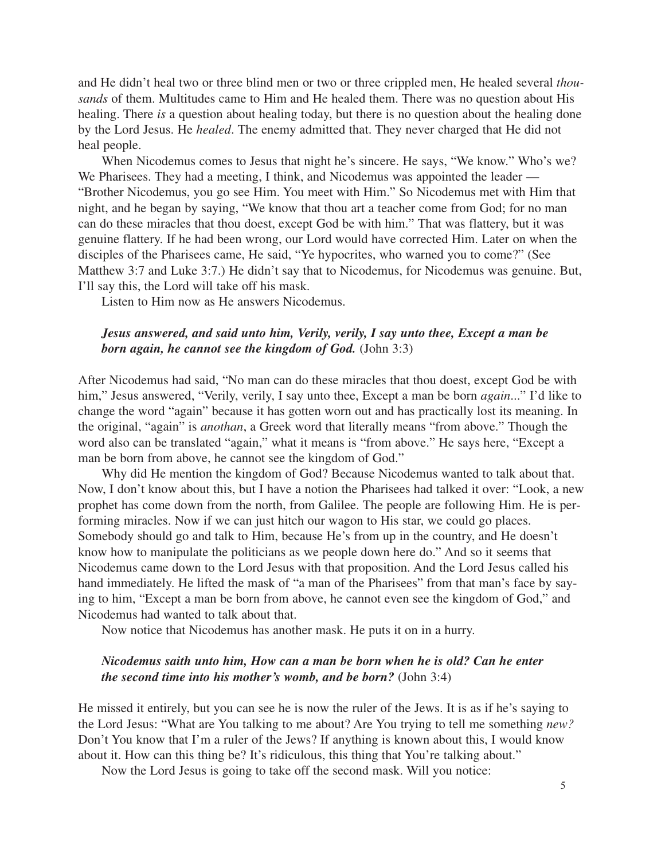and He didn't heal two or three blind men or two or three crippled men, He healed several *thousands* of them. Multitudes came to Him and He healed them. There was no question about His healing. There *is* a question about healing today, but there is no question about the healing done by the Lord Jesus. He *healed*. The enemy admitted that. They never charged that He did not heal people.

When Nicodemus comes to Jesus that night he's sincere. He says, "We know." Who's we? We Pharisees. They had a meeting, I think, and Nicodemus was appointed the leader — "Brother Nicodemus, you go see Him. You meet with Him." So Nicodemus met with Him that night, and he began by saying, "We know that thou art a teacher come from God; for no man can do these miracles that thou doest, except God be with him." That was flattery, but it was genuine flattery. If he had been wrong, our Lord would have corrected Him. Later on when the disciples of the Pharisees came, He said, "Ye hypocrites, who warned you to come?" (See Matthew 3:7 and Luke 3:7.) He didn't say that to Nicodemus, for Nicodemus was genuine. But, I'll say this, the Lord will take off his mask.

Listen to Him now as He answers Nicodemus.

## *Jesus answered, and said unto him, Verily, verily, I say unto thee, Except a man be born again, he cannot see the kingdom of God.* (John 3:3)

After Nicodemus had said, "No man can do these miracles that thou doest, except God be with him," Jesus answered, "Verily, verily, I say unto thee, Except a man be born *again*..." I'd like to change the word "again" because it has gotten worn out and has practically lost its meaning. In the original, "again" is *anothan*, a Greek word that literally means "from above." Though the word also can be translated "again," what it means is "from above." He says here, "Except a man be born from above, he cannot see the kingdom of God."

Why did He mention the kingdom of God? Because Nicodemus wanted to talk about that. Now, I don't know about this, but I have a notion the Pharisees had talked it over: "Look, a new prophet has come down from the north, from Galilee. The people are following Him. He is performing miracles. Now if we can just hitch our wagon to His star, we could go places. Somebody should go and talk to Him, because He's from up in the country, and He doesn't know how to manipulate the politicians as we people down here do." And so it seems that Nicodemus came down to the Lord Jesus with that proposition. And the Lord Jesus called his hand immediately. He lifted the mask of "a man of the Pharisees" from that man's face by saying to him, "Except a man be born from above, he cannot even see the kingdom of God," and Nicodemus had wanted to talk about that.

Now notice that Nicodemus has another mask. He puts it on in a hurry.

## *Nicodemus saith unto him, How can a man be born when he is old? Can he enter the second time into his mother's womb, and be born?* (John 3:4)

He missed it entirely, but you can see he is now the ruler of the Jews. It is as if he's saying to the Lord Jesus: "What are You talking to me about? Are You trying to tell me something *new?* Don't You know that I'm a ruler of the Jews? If anything is known about this, I would know about it. How can this thing be? It's ridiculous, this thing that You're talking about."

Now the Lord Jesus is going to take off the second mask. Will you notice: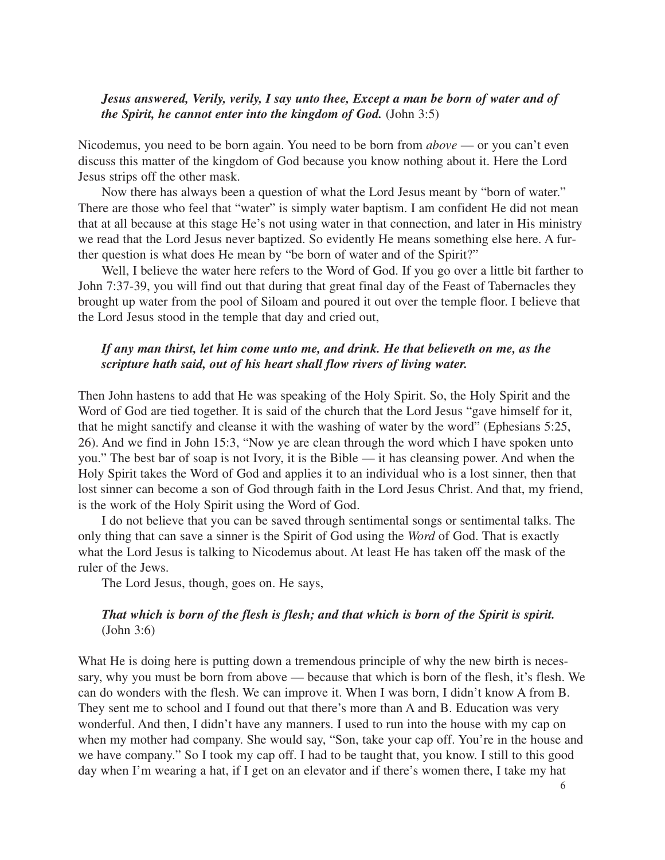## *Jesus answered, Verily, verily, I say unto thee, Except a man be born of water and of the Spirit, he cannot enter into the kingdom of God.* (John 3:5)

Nicodemus, you need to be born again. You need to be born from *above* — or you can't even discuss this matter of the kingdom of God because you know nothing about it. Here the Lord Jesus strips off the other mask.

Now there has always been a question of what the Lord Jesus meant by "born of water." There are those who feel that "water" is simply water baptism. I am confident He did not mean that at all because at this stage He's not using water in that connection, and later in His ministry we read that the Lord Jesus never baptized. So evidently He means something else here. A further question is what does He mean by "be born of water and of the Spirit?"

Well, I believe the water here refers to the Word of God. If you go over a little bit farther to John 7:37-39, you will find out that during that great final day of the Feast of Tabernacles they brought up water from the pool of Siloam and poured it out over the temple floor. I believe that the Lord Jesus stood in the temple that day and cried out,

## *If any man thirst, let him come unto me, and drink. He that believeth on me, as the scripture hath said, out of his heart shall flow rivers of living water.*

Then John hastens to add that He was speaking of the Holy Spirit. So, the Holy Spirit and the Word of God are tied together. It is said of the church that the Lord Jesus "gave himself for it, that he might sanctify and cleanse it with the washing of water by the word" (Ephesians 5:25, 26). And we find in John 15:3, "Now ye are clean through the word which I have spoken unto you." The best bar of soap is not Ivory, it is the Bible — it has cleansing power. And when the Holy Spirit takes the Word of God and applies it to an individual who is a lost sinner, then that lost sinner can become a son of God through faith in the Lord Jesus Christ. And that, my friend, is the work of the Holy Spirit using the Word of God.

I do not believe that you can be saved through sentimental songs or sentimental talks. The only thing that can save a sinner is the Spirit of God using the *Word* of God. That is exactly what the Lord Jesus is talking to Nicodemus about. At least He has taken off the mask of the ruler of the Jews.

The Lord Jesus, though, goes on. He says,

## *That which is born of the flesh is flesh; and that which is born of the Spirit is spirit.* (John 3:6)

What He is doing here is putting down a tremendous principle of why the new birth is necessary, why you must be born from above — because that which is born of the flesh, it's flesh. We can do wonders with the flesh. We can improve it. When I was born, I didn't know A from B. They sent me to school and I found out that there's more than A and B. Education was very wonderful. And then, I didn't have any manners. I used to run into the house with my cap on when my mother had company. She would say, "Son, take your cap off. You're in the house and we have company." So I took my cap off. I had to be taught that, you know. I still to this good day when I'm wearing a hat, if I get on an elevator and if there's women there, I take my hat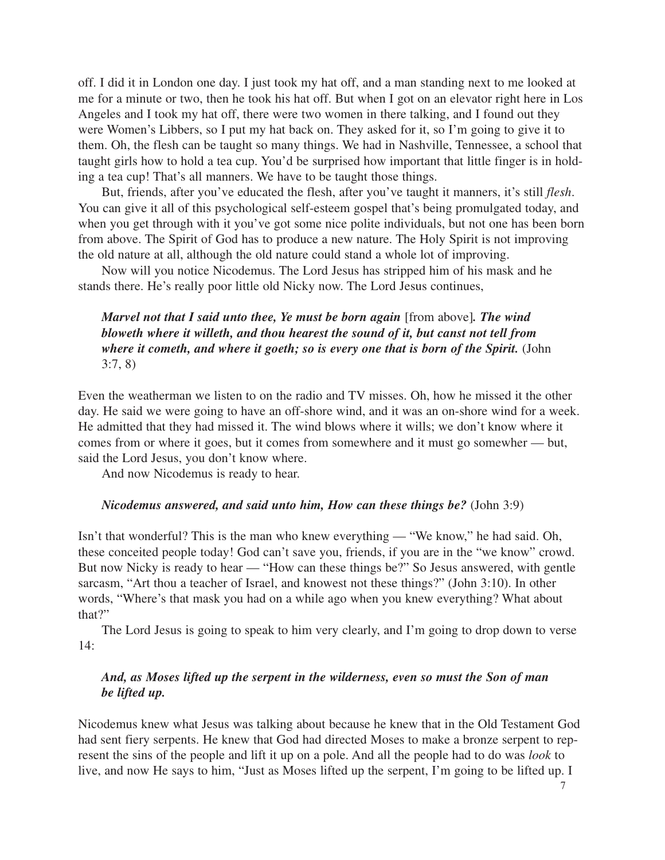off. I did it in London one day. I just took my hat off, and a man standing next to me looked at me for a minute or two, then he took his hat off. But when I got on an elevator right here in Los Angeles and I took my hat off, there were two women in there talking, and I found out they were Women's Libbers, so I put my hat back on. They asked for it, so I'm going to give it to them. Oh, the flesh can be taught so many things. We had in Nashville, Tennessee, a school that taught girls how to hold a tea cup. You'd be surprised how important that little finger is in holding a tea cup! That's all manners. We have to be taught those things.

But, friends, after you've educated the flesh, after you've taught it manners, it's still *flesh*. You can give it all of this psychological self-esteem gospel that's being promulgated today, and when you get through with it you've got some nice polite individuals, but not one has been born from above. The Spirit of God has to produce a new nature. The Holy Spirit is not improving the old nature at all, although the old nature could stand a whole lot of improving.

Now will you notice Nicodemus. The Lord Jesus has stripped him of his mask and he stands there. He's really poor little old Nicky now. The Lord Jesus continues,

# *Marvel not that I said unto thee, Ye must be born again* [from above]*. The wind bloweth where it willeth, and thou hearest the sound of it, but canst not tell from where it cometh, and where it goeth; so is every one that is born of the Spirit.* (John 3:7, 8)

Even the weatherman we listen to on the radio and TV misses. Oh, how he missed it the other day. He said we were going to have an off-shore wind, and it was an on-shore wind for a week. He admitted that they had missed it. The wind blows where it wills; we don't know where it comes from or where it goes, but it comes from somewhere and it must go somewher — but, said the Lord Jesus, you don't know where.

And now Nicodemus is ready to hear.

#### *Nicodemus answered, and said unto him, How can these things be?* (John 3:9)

Isn't that wonderful? This is the man who knew everything — "We know," he had said. Oh, these conceited people today! God can't save you, friends, if you are in the "we know" crowd. But now Nicky is ready to hear — "How can these things be?" So Jesus answered, with gentle sarcasm, "Art thou a teacher of Israel, and knowest not these things?" (John 3:10). In other words, "Where's that mask you had on a while ago when you knew everything? What about that?"

The Lord Jesus is going to speak to him very clearly, and I'm going to drop down to verse 14:

## *And, as Moses lifted up the serpent in the wilderness, even so must the Son of man be lifted up.*

Nicodemus knew what Jesus was talking about because he knew that in the Old Testament God had sent fiery serpents. He knew that God had directed Moses to make a bronze serpent to represent the sins of the people and lift it up on a pole. And all the people had to do was *look* to live, and now He says to him, "Just as Moses lifted up the serpent, I'm going to be lifted up. I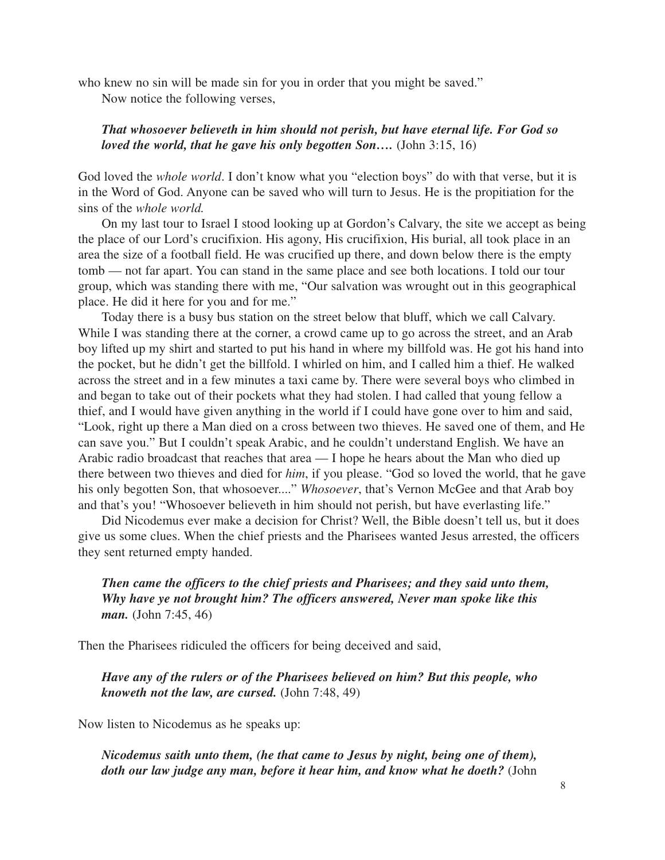who knew no sin will be made sin for you in order that you might be saved."

Now notice the following verses,

## *That whosoever believeth in him should not perish, but have eternal life. For God so loved the world, that he gave his only begotten Son....* (John 3:15, 16)

God loved the *whole world*. I don't know what you "election boys" do with that verse, but it is in the Word of God. Anyone can be saved who will turn to Jesus. He is the propitiation for the sins of the *whole world.*

On my last tour to Israel I stood looking up at Gordon's Calvary, the site we accept as being the place of our Lord's crucifixion. His agony, His crucifixion, His burial, all took place in an area the size of a football field. He was crucified up there, and down below there is the empty tomb — not far apart. You can stand in the same place and see both locations. I told our tour group, which was standing there with me, "Our salvation was wrought out in this geographical place. He did it here for you and for me."

Today there is a busy bus station on the street below that bluff, which we call Calvary. While I was standing there at the corner, a crowd came up to go across the street, and an Arab boy lifted up my shirt and started to put his hand in where my billfold was. He got his hand into the pocket, but he didn't get the billfold. I whirled on him, and I called him a thief. He walked across the street and in a few minutes a taxi came by. There were several boys who climbed in and began to take out of their pockets what they had stolen. I had called that young fellow a thief, and I would have given anything in the world if I could have gone over to him and said, "Look, right up there a Man died on a cross between two thieves. He saved one of them, and He can save you." But I couldn't speak Arabic, and he couldn't understand English. We have an Arabic radio broadcast that reaches that area — I hope he hears about the Man who died up there between two thieves and died for *him*, if you please. "God so loved the world, that he gave his only begotten Son, that whosoever...." *Whosoever*, that's Vernon McGee and that Arab boy and that's you! "Whosoever believeth in him should not perish, but have everlasting life."

Did Nicodemus ever make a decision for Christ? Well, the Bible doesn't tell us, but it does give us some clues. When the chief priests and the Pharisees wanted Jesus arrested, the officers they sent returned empty handed.

# *Then came the officers to the chief priests and Pharisees; and they said unto them, Why have ye not brought him? The officers answered, Never man spoke like this man.* (John 7:45, 46)

Then the Pharisees ridiculed the officers for being deceived and said,

*Have any of the rulers or of the Pharisees believed on him? But this people, who knoweth not the law, are cursed.* (John 7:48, 49)

Now listen to Nicodemus as he speaks up:

*Nicodemus saith unto them, (he that came to Jesus by night, being one of them), doth our law judge any man, before it hear him, and know what he doeth?* (John